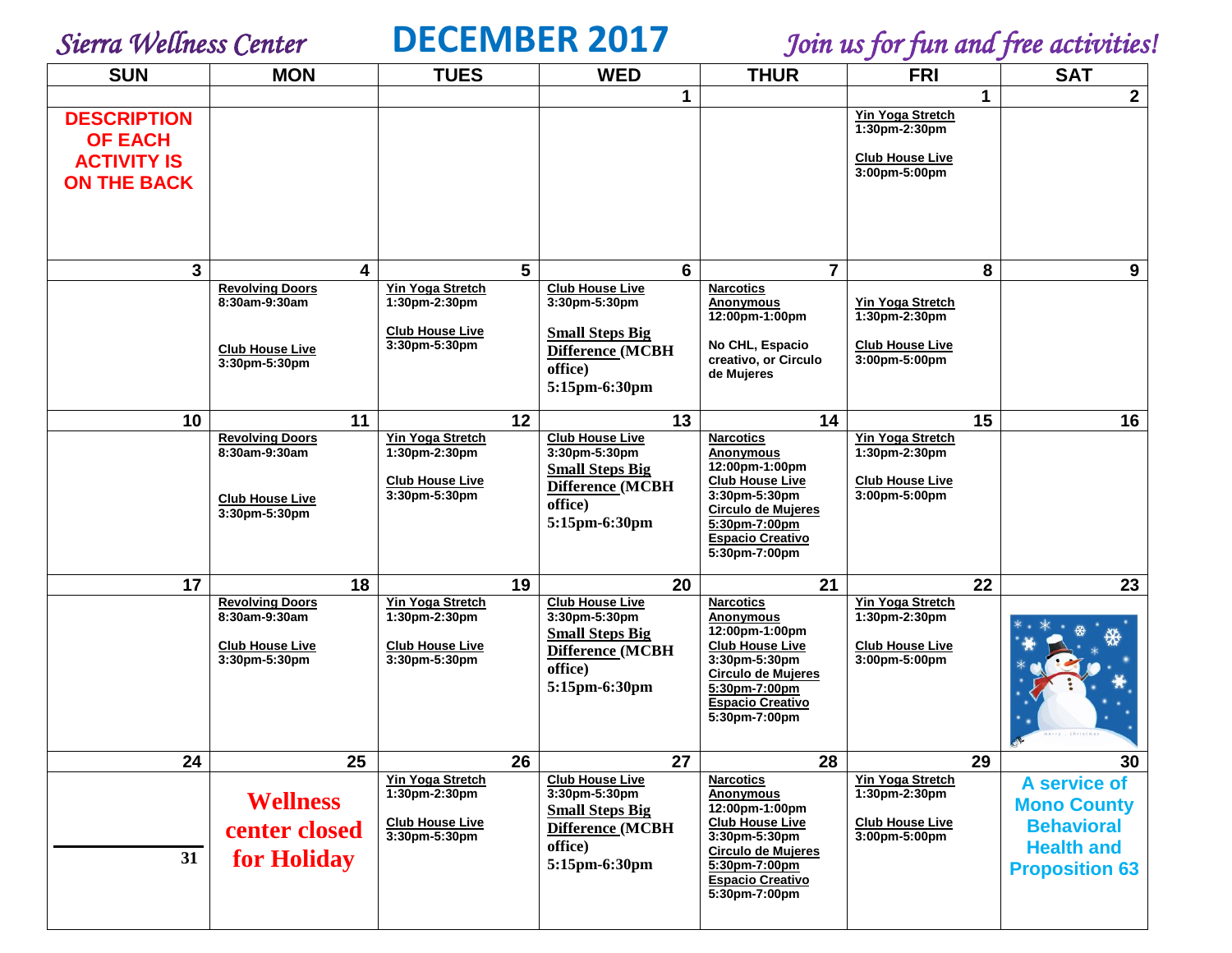

*Sierra Wellness Center* **DECEMBER 2017** *Join us for fun and free activities!*

| <b>SUN</b>                                                                       | <b>MON</b>                                                                         | <b>TUES</b>                                                                         | <b>WED</b>                                                                                                        | <b>THUR</b>                                                                                                                                                                                 | <b>FRI</b>                                                                              | <b>SAT</b>                                                                                            |
|----------------------------------------------------------------------------------|------------------------------------------------------------------------------------|-------------------------------------------------------------------------------------|-------------------------------------------------------------------------------------------------------------------|---------------------------------------------------------------------------------------------------------------------------------------------------------------------------------------------|-----------------------------------------------------------------------------------------|-------------------------------------------------------------------------------------------------------|
|                                                                                  |                                                                                    |                                                                                     | 1                                                                                                                 |                                                                                                                                                                                             | 1                                                                                       | $\overline{2}$                                                                                        |
| <b>DESCRIPTION</b><br><b>OF EACH</b><br><b>ACTIVITY IS</b><br><b>ON THE BACK</b> |                                                                                    |                                                                                     |                                                                                                                   |                                                                                                                                                                                             | <b>Yin Yoga Stretch</b><br>1:30pm-2:30pm<br><b>Club House Live</b><br>3:00pm-5:00pm     |                                                                                                       |
|                                                                                  |                                                                                    |                                                                                     |                                                                                                                   |                                                                                                                                                                                             |                                                                                         |                                                                                                       |
| 3                                                                                | 4                                                                                  | 5                                                                                   | 6                                                                                                                 | $\overline{7}$                                                                                                                                                                              | 8                                                                                       | 9                                                                                                     |
|                                                                                  | <b>Revolving Doors</b><br>8:30am-9:30am                                            | Yin Yoga Stretch<br>1:30pm-2:30pm<br><b>Club House Live</b>                         | <b>Club House Live</b><br>3:30pm-5:30pm<br><b>Small Steps Big</b>                                                 | <b>Narcotics</b><br>Anonymous<br>12:00pm-1:00pm                                                                                                                                             | <b>Yin Yoga Stretch</b><br>1:30pm-2:30pm                                                |                                                                                                       |
|                                                                                  | <b>Club House Live</b><br>3:30pm-5:30pm                                            | 3:30pm-5:30pm                                                                       | Difference (MCBH<br>office)<br>5:15pm-6:30pm                                                                      | No CHL, Espacio<br>creativo, or Circulo<br>de Mujeres                                                                                                                                       | <b>Club House Live</b><br>3:00pm-5:00pm                                                 |                                                                                                       |
| 10                                                                               | 11                                                                                 | 12                                                                                  | 13                                                                                                                | 14                                                                                                                                                                                          | 15                                                                                      | 16                                                                                                    |
|                                                                                  | <b>Revolving Doors</b><br>8:30am-9:30am<br><b>Club House Live</b><br>3:30pm-5:30pm | <b>Yin Yoga Stretch</b><br>1:30pm-2:30pm<br><b>Club House Live</b><br>3:30pm-5:30pm | <b>Club House Live</b><br>3:30pm-5:30pm<br><b>Small Steps Big</b><br>Difference (MCBH<br>office)<br>5:15pm-6:30pm | <b>Narcotics</b><br><b>Anonymous</b><br>12:00pm-1:00pm<br><b>Club House Live</b><br>3:30pm-5:30pm<br><b>Circulo de Mujeres</b><br>5:30pm-7:00pm<br><b>Espacio Creativo</b><br>5:30pm-7:00pm | <b>Yin Yoga Stretch</b><br>1:30pm-2:30pm<br><b>Club House Live</b><br>3:00pm-5:00pm     |                                                                                                       |
| 17                                                                               | 18                                                                                 | 19                                                                                  | 20                                                                                                                | 21                                                                                                                                                                                          | 22                                                                                      | 23                                                                                                    |
|                                                                                  | <b>Revolving Doors</b><br>8:30am-9:30am<br><b>Club House Live</b><br>3:30pm-5:30pm | Yin Yoga Stretch<br>1:30pm-2:30pm<br><b>Club House Live</b><br>3:30pm-5:30pm        | <b>Club House Live</b><br>3:30pm-5:30pm<br><b>Small Steps Big</b><br>Difference (MCBH<br>office)<br>5:15pm-6:30pm | <b>Narcotics</b><br>Anonymous<br>12:00pm-1:00pm<br><b>Club House Live</b><br>3:30pm-5:30pm<br><b>Circulo de Mujeres</b><br>5:30pm-7:00pm<br><b>Espacio Creativo</b><br>5:30pm-7:00pm        | <b>Yin Yoga Stretch</b><br>1:30pm-2:30pm<br><b>Club House Live</b><br>3:00pm-5:00pm     |                                                                                                       |
| 24                                                                               | 25                                                                                 | 26                                                                                  | 27                                                                                                                | 28                                                                                                                                                                                          | 29                                                                                      | 30                                                                                                    |
| 31                                                                               | <b>Wellness</b><br>center closed<br>for Holiday                                    | <b>Yin Yoga Stretch</b><br>1:30pm-2:30pm<br><b>Club House Live</b><br>3:30pm-5:30pm | <b>Club House Live</b><br>3:30pm-5:30pm<br><b>Small Steps Big</b><br>Difference (MCBH<br>office)<br>5:15pm-6:30pm | <b>Narcotics</b><br><b>Anonymous</b><br>12:00pm-1:00pm<br><b>Club House Live</b><br>3:30pm-5:30pm<br><b>Circulo de Mujeres</b><br>5:30pm-7:00pm<br><b>Espacio Creativo</b><br>5:30pm-7:00pm | <b>Yin Yoga Stretch</b><br>$1:30pm - 2:30pm$<br><b>Club House Live</b><br>3:00pm-5:00pm | A service of<br><b>Mono County</b><br><b>Behavioral</b><br><b>Health and</b><br><b>Proposition 63</b> |